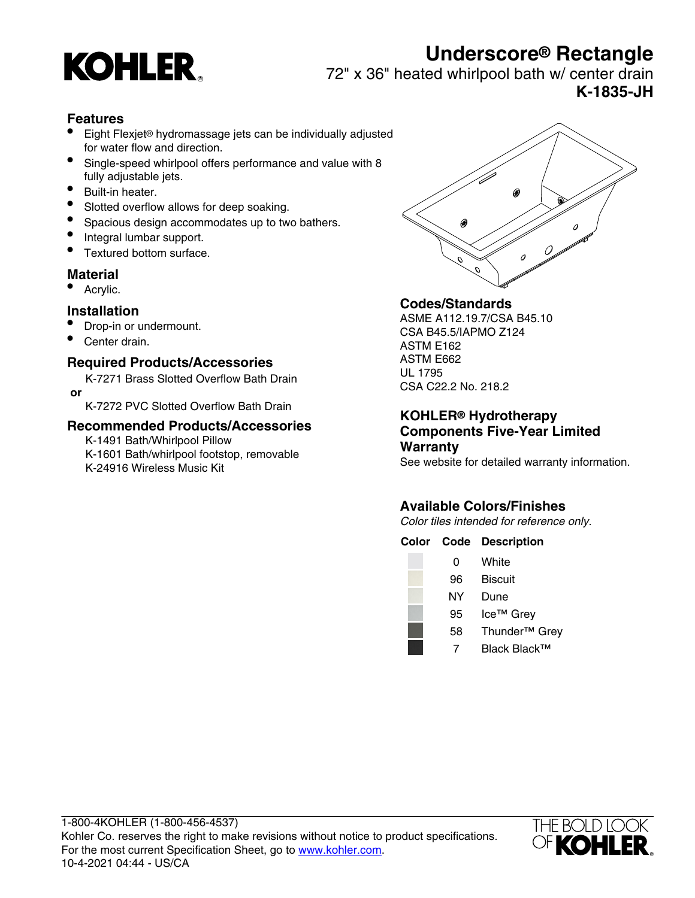

# **Underscore® Rectangle**

72" x 36" heated whirlpool bath w/ center drain **K-1835-JH**

### **Features**

- Eight Flexjet® hydromassage jets can be individually adjusted for water flow and direction.
- Single-speed whirlpool offers performance and value with 8 fully adjustable jets.
- Built-in heater.
- Slotted overflow allows for deep soaking.
- Spacious design accommodates up to two bathers.
- Integral lumbar support.
- Textured bottom surface.

#### **Material**

• Acrylic.

#### **Installation**

- Drop-in or undermount.
- Center drain.

#### **Required Products/Accessories**

K-7271 Brass Slotted Overflow Bath Drain  **or**

K-7272 PVC Slotted Overflow Bath Drain

#### **Recommended Products/Accessories**

K-1491 Bath/Whirlpool Pillow K-1601 Bath/whirlpool footstop, removable K-24916 Wireless Music Kit



## **Codes/Standards**

ASME A112.19.7/CSA B45.10 CSA B45.5/IAPMO Z124 ASTM E162 ASTM E662 UL 1795 CSA C22.2 No. 218.2

#### **KOHLER® Hydrotherapy Components Five-Year Limited Warranty**

See website for detailed warranty information.

#### **Available Colors/Finishes**

Color tiles intended for reference only.

**Color Code Description**

| 0  | White                     |
|----|---------------------------|
| 96 | Biscuit                   |
| NY | Dune                      |
| 95 | Ice <sup>™</sup> Grey     |
| 58 | Thunder <sup>™</sup> Grey |
|    | Black Black™              |